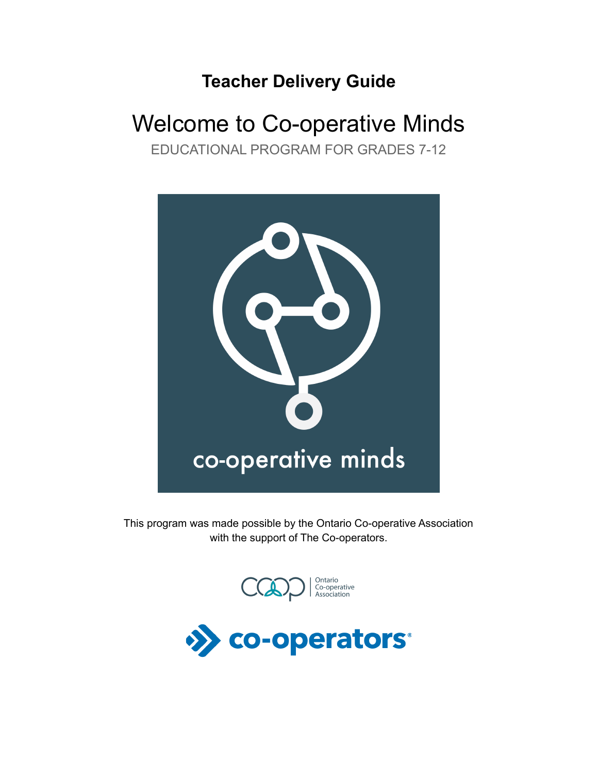## **Teacher Delivery Guide**

# Welcome to Co-operative Minds

EDUCATIONAL PROGRAM FOR GRADES 7-12



This program was made possible by the Ontario Co-operative Association with the support of The Co-operators.

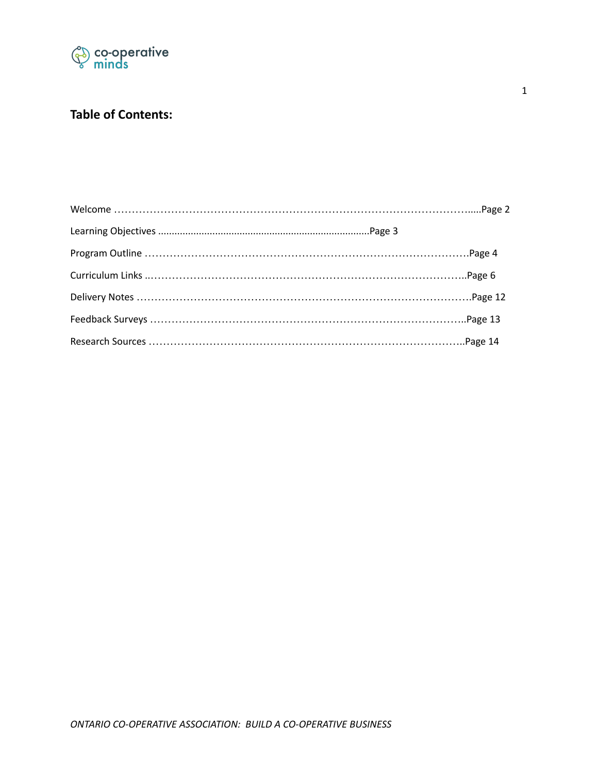

## **Table of Contents:**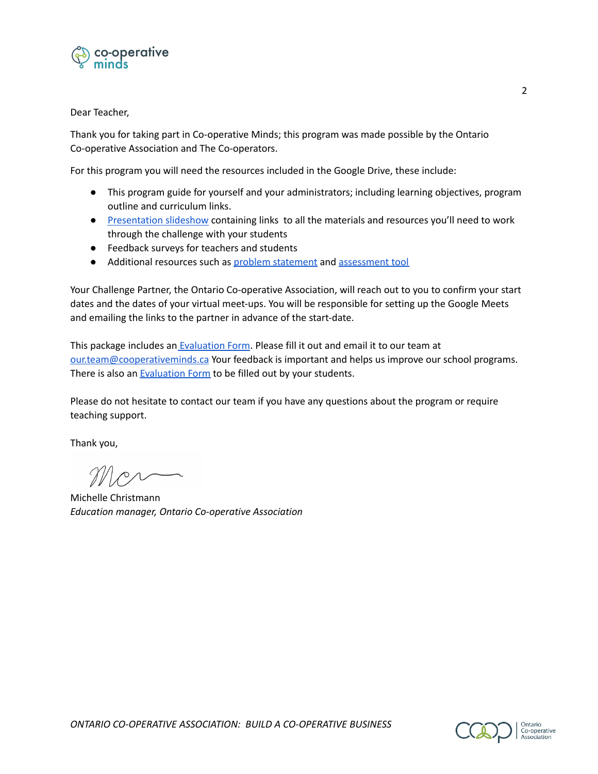

Dear Teacher,

Thank you for taking part in Co-operative Minds; this program was made possible by the Ontario Co-operative Association and The Co-operators.

For this program you will need the resources included in the Google Drive, these include:

- This program guide for yourself and your administrators; including learning objectives, program outline and curriculum links.
- [Presentation](https://docs.google.com/presentation/d/1x73zV_ZrA-k9ioNy6f9p4Ex4YRERfYTG_jZh09qEXyo/edit?usp=sharing) slideshow containing links to all the materials and resources you'll need to work through the challenge with your students
- Feedback surveys for teachers and students
- Additional resources such as problem [statement](https://docs.google.com/document/d/1jCqfynoY2z74nze8f8oGHUH5ZKuo8U3V/edit?usp=sharing&ouid=102318774232839170173&rtpof=true&sd=true) and [assessment](https://docs.google.com/document/d/136Z1SC44-3P-s247xGh6P6mnWeBRM1ID/edit?usp=sharing&ouid=102318774232839170173&rtpof=true&sd=true) tool

Your Challenge Partner, the Ontario Co-operative Association, will reach out to you to confirm your start dates and the dates of your virtual meet-ups. You will be responsible for setting up the Google Meets and emailing the links to the partner in advance of the start-date.

This package includes an [Evaluation](https://docs.google.com/document/d/133U9Frp5wKtKCHcg0djegsZWcGLipaXC5FhKsjFdTOI/copy) Form. Please fill it out and email it to our team at [our.team@cooperativeminds.ca](mailto:our.team@cooperativeminds.ca) Your feedback is important and helps us improve our school programs. There is also an [Evaluation](https://docs.google.com/document/d/16vlusB1RYDM-VECWud4DVO3ybttHkVnc8eRL-Pz20dc/copy) Form to be filled out by your students.

Please do not hesitate to contact our team if you have any questions about the program or require teaching support.

Thank you,

Michelle Christmann *Education manager, Ontario Co-operative Association*

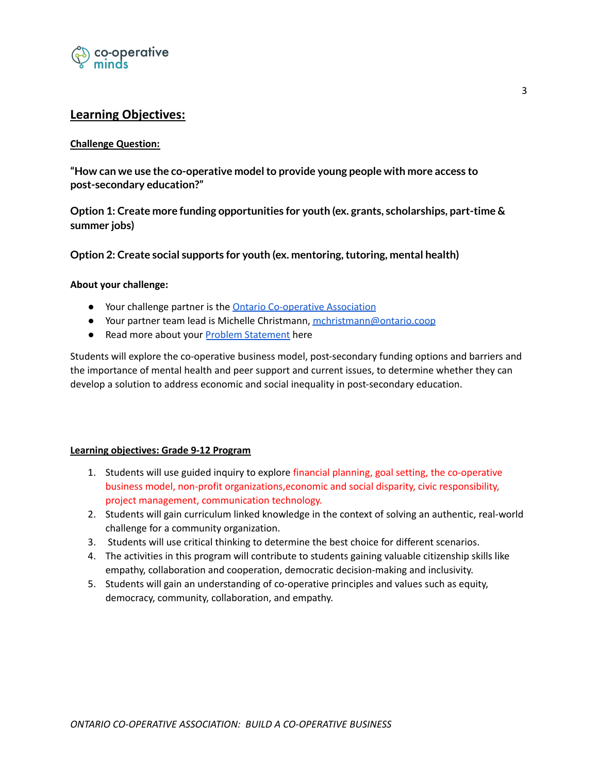

## **Learning Objectives:**

#### **Challenge Question:**

**"How can we use the co-operative modelto provide young people with more access to post-secondary education?"**

**Option 1: Create more funding opportunities for youth (ex. grants, scholarships, part-time & summer jobs)**

**Option 2: Create social supports for youth (ex. mentoring,tutoring, mental health)**

#### **About your challenge:**

- Your challenge partner is the **Ontario [Co-operative](https://ontario.coop/) Association**
- Your partner team lead is Michelle Christmann, [mchristmann@ontario.coop](mailto:mchristmann@ontario.coop)
- Read more about your Problem [Statement](https://docs.google.com/document/d/1jCqfynoY2z74nze8f8oGHUH5ZKuo8U3V/edit?usp=sharing&ouid=102318774232839170173&rtpof=true&sd=true) here

Students will explore the co-operative business model, post-secondary funding options and barriers and the importance of mental health and peer support and current issues, to determine whether they can develop a solution to address economic and social inequality in post-secondary education.

#### **Learning objectives: Grade 9-12 Program**

- 1. Students will use guided inquiry to explore financial planning, goal setting, the co-operative business model, non-profit organizations,economic and social disparity, civic responsibility, project management, communication technology.
- 2. Students will gain curriculum linked knowledge in the context of solving an authentic, real-world challenge for a community organization.
- 3. Students will use critical thinking to determine the best choice for different scenarios.
- 4. The activities in this program will contribute to students gaining valuable citizenship skills like empathy, collaboration and cooperation, democratic decision-making and inclusivity.
- 5. Students will gain an understanding of co-operative principles and values such as equity, democracy, community, collaboration, and empathy.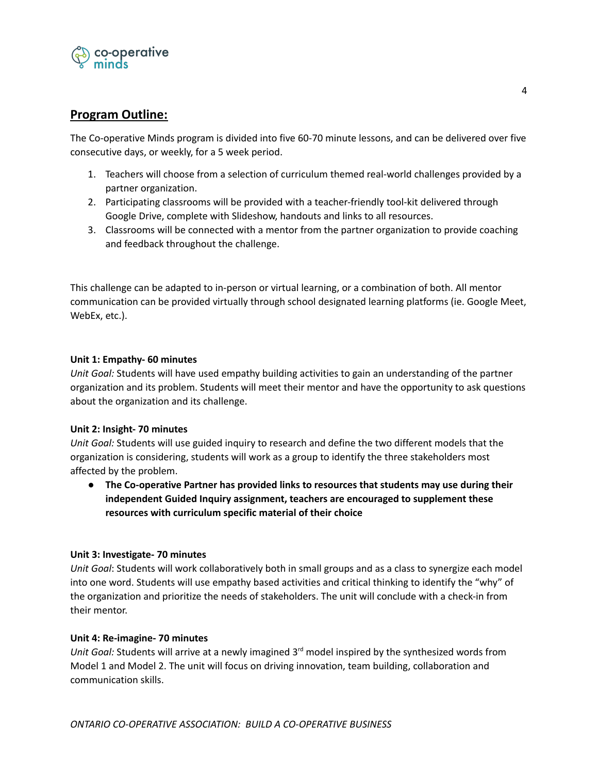

### **Program Outline:**

The Co-operative Minds program is divided into five 60-70 minute lessons, and can be delivered over five consecutive days, or weekly, for a 5 week period.

- 1. Teachers will choose from a selection of curriculum themed real-world challenges provided by a partner organization.
- 2. Participating classrooms will be provided with a teacher-friendly tool-kit delivered through Google Drive, complete with Slideshow, handouts and links to all resources.
- 3. Classrooms will be connected with a mentor from the partner organization to provide coaching and feedback throughout the challenge.

This challenge can be adapted to in-person or virtual learning, or a combination of both. All mentor communication can be provided virtually through school designated learning platforms (ie. Google Meet, WebEx, etc.).

#### **Unit 1: Empathy- 60 minutes**

*Unit Goal:* Students will have used empathy building activities to gain an understanding of the partner organization and its problem. Students will meet their mentor and have the opportunity to ask questions about the organization and its challenge.

#### **Unit 2: Insight- 70 minutes**

*Unit Goal:* Students will use guided inquiry to research and define the two different models that the organization is considering, students will work as a group to identify the three stakeholders most affected by the problem.

**● The Co-operative Partner has provided links to resources that students may use during their independent Guided Inquiry assignment, teachers are encouraged to supplement these resources with curriculum specific material of their choice**

#### **Unit 3: Investigate- 70 minutes**

*Unit Goal*: Students will work collaboratively both in small groups and as a class to synergize each model into one word. Students will use empathy based activities and critical thinking to identify the "why" of the organization and prioritize the needs of stakeholders. The unit will conclude with a check-in from their mentor.

#### **Unit 4: Re-imagine- 70 minutes**

Unit Goal: Students will arrive at a newly imagined 3<sup>rd</sup> model inspired by the synthesized words from Model 1 and Model 2. The unit will focus on driving innovation, team building, collaboration and communication skills.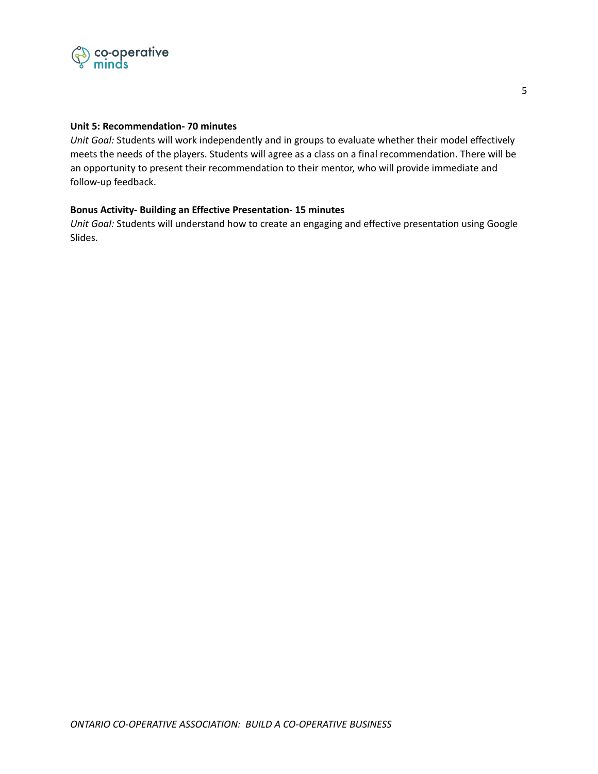

#### **Unit 5: Recommendation- 70 minutes**

*Unit Goal:* Students will work independently and in groups to evaluate whether their model effectively meets the needs of the players. Students will agree as a class on a final recommendation. There will be an opportunity to present their recommendation to their mentor, who will provide immediate and follow-up feedback.

#### **Bonus Activity- Building an Effective Presentation- 15 minutes**

*Unit Goal:* Students will understand how to create an engaging and effective presentation using Google Slides.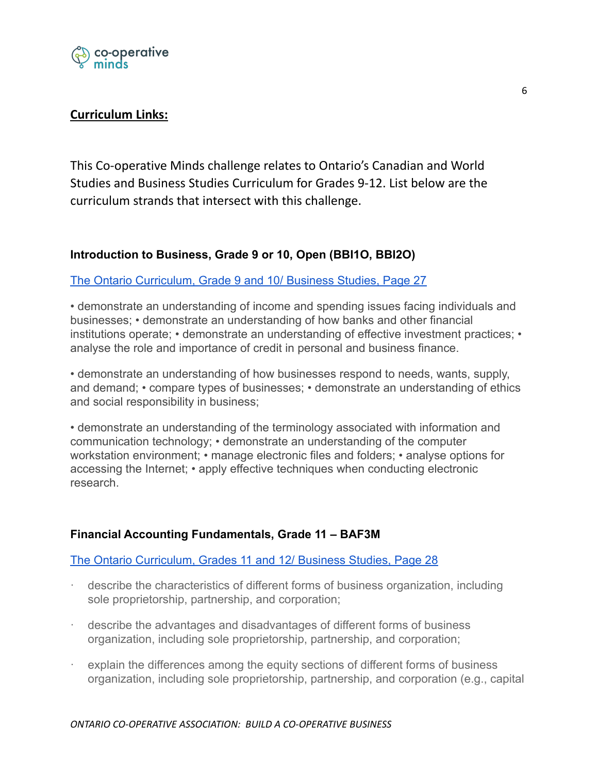

## **Curriculum Links:**

This Co-operative Minds challenge relates to Ontario's Canadian and World Studies and Business Studies Curriculum for Grades 9-12. List below are the curriculum strands that intersect with this challenge.

## **Introduction to Business, Grade 9 or 10, Open (BBI1O, BBI2O)**

#### [The Ontario Curriculum, Grade 9 and 10/ Business Studies, Page 27](http://www.edu.gov.on.ca/eng/curriculum/secondary/business910currb.pdf)

• demonstrate an understanding of income and spending issues facing individuals and businesses; • demonstrate an understanding of how banks and other financial institutions operate; • demonstrate an understanding of effective investment practices; • analyse the role and importance of credit in personal and business finance.

• demonstrate an understanding of how businesses respond to needs, wants, supply, and demand; • compare types of businesses; • demonstrate an understanding of ethics and social responsibility in business;

• demonstrate an understanding of the terminology associated with information and communication technology; • demonstrate an understanding of the computer workstation environment; • manage electronic files and folders; • analyse options for accessing the Internet; • apply effective techniques when conducting electronic research.

## **Financial Accounting Fundamentals, Grade 11 – BAF3M**

#### [The Ontario Curriculum, Grades 11 and 12/ Business Studies, Page 28](http://www.edu.gov.on.ca/eng/curriculum/secondary/business1112currb.pdf)

- · describe the characteristics of different forms of business organization, including sole proprietorship, partnership, and corporation;
- · describe the advantages and disadvantages of different forms of business organization, including sole proprietorship, partnership, and corporation;
- · explain the differences among the equity sections of different forms of business organization, including sole proprietorship, partnership, and corporation (e.g., capital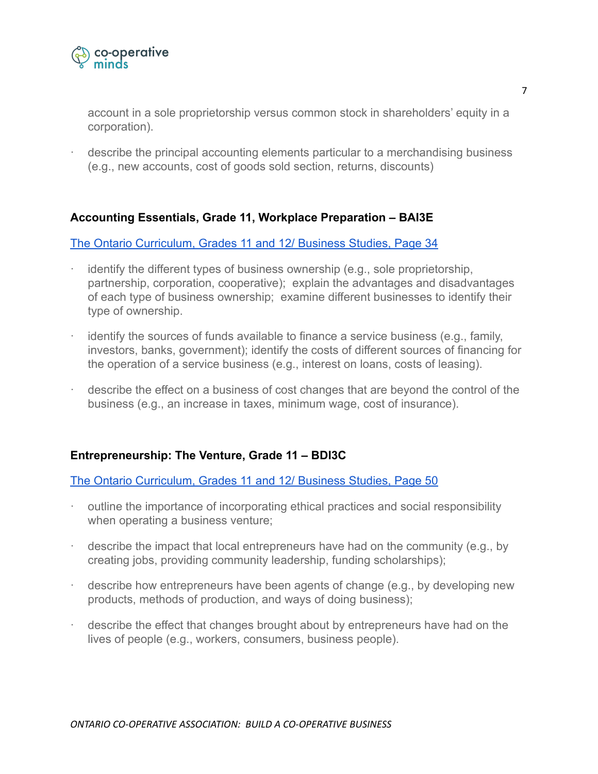

account in a sole proprietorship versus common stock in shareholders' equity in a corporation).

· describe the principal accounting elements particular to a merchandising business (e.g., new accounts, cost of goods sold section, returns, discounts)

#### **Accounting Essentials, Grade 11, Workplace Preparation – BAI3E**

[The Ontario Curriculum, Grades 11 and 12/ Business Studies, Page 34](http://www.edu.gov.on.ca/eng/curriculum/secondary/business1112currb.pdf)

- identify the different types of business ownership (e.g., sole proprietorship, partnership, corporation, cooperative); explain the advantages and disadvantages of each type of business ownership; examine different businesses to identify their type of ownership.
- identify the sources of funds available to finance a service business (e.g., family, investors, banks, government); identify the costs of different sources of financing for the operation of a service business (e.g., interest on loans, costs of leasing).
- describe the effect on a business of cost changes that are beyond the control of the business (e.g., an increase in taxes, minimum wage, cost of insurance).

## **Entrepreneurship: The Venture, Grade 11 – BDI3C**

[The Ontario Curriculum, Grades 11 and 12/ Business Studies, Page 50](http://www.edu.gov.on.ca/eng/curriculum/secondary/business1112currb.pdf)

- · outline the importance of incorporating ethical practices and social responsibility when operating a business venture;
- · describe the impact that local entrepreneurs have had on the community (e.g., by creating jobs, providing community leadership, funding scholarships);
- · describe how entrepreneurs have been agents of change (e.g., by developing new products, methods of production, and ways of doing business);
- · describe the effect that changes brought about by entrepreneurs have had on the lives of people (e.g., workers, consumers, business people).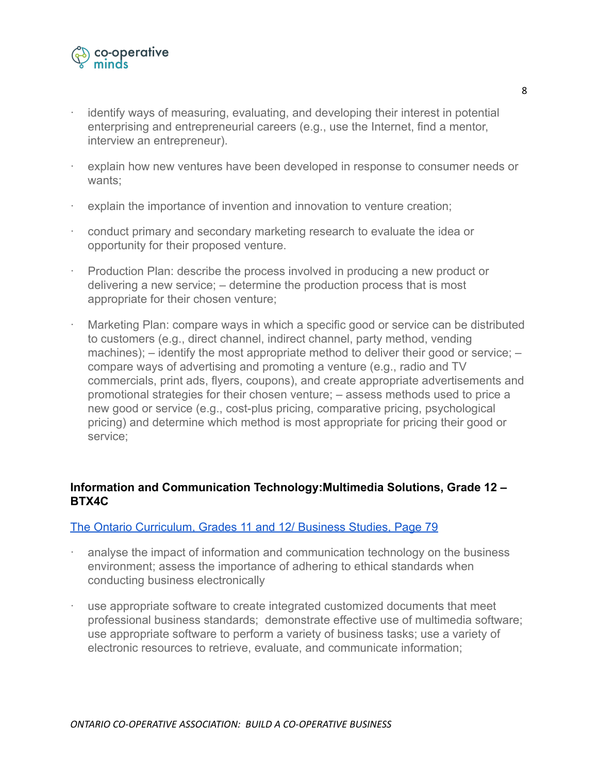

- identify ways of measuring, evaluating, and developing their interest in potential enterprising and entrepreneurial careers (e.g., use the Internet, find a mentor, interview an entrepreneur).
- explain how new ventures have been developed in response to consumer needs or wants;
- · explain the importance of invention and innovation to venture creation;
- · conduct primary and secondary marketing research to evaluate the idea or opportunity for their proposed venture.
- · Production Plan: describe the process involved in producing a new product or delivering a new service; – determine the production process that is most appropriate for their chosen venture;
- Marketing Plan: compare ways in which a specific good or service can be distributed to customers (e.g., direct channel, indirect channel, party method, vending machines); – identify the most appropriate method to deliver their good or service; – compare ways of advertising and promoting a venture (e.g., radio and TV commercials, print ads, flyers, coupons), and create appropriate advertisements and promotional strategies for their chosen venture; – assess methods used to price a new good or service (e.g., cost-plus pricing, comparative pricing, psychological pricing) and determine which method is most appropriate for pricing their good or service;

## **Information and Communication Technology:Multimedia Solutions, Grade 12 – BTX4C**

#### [The Ontario Curriculum, Grades 11 and 12/ Business Studies, Page 79](http://www.edu.gov.on.ca/eng/curriculum/secondary/business1112currb.pdf)

- analyse the impact of information and communication technology on the business environment; assess the importance of adhering to ethical standards when conducting business electronically
- · use appropriate software to create integrated customized documents that meet professional business standards; demonstrate effective use of multimedia software; use appropriate software to perform a variety of business tasks; use a variety of electronic resources to retrieve, evaluate, and communicate information;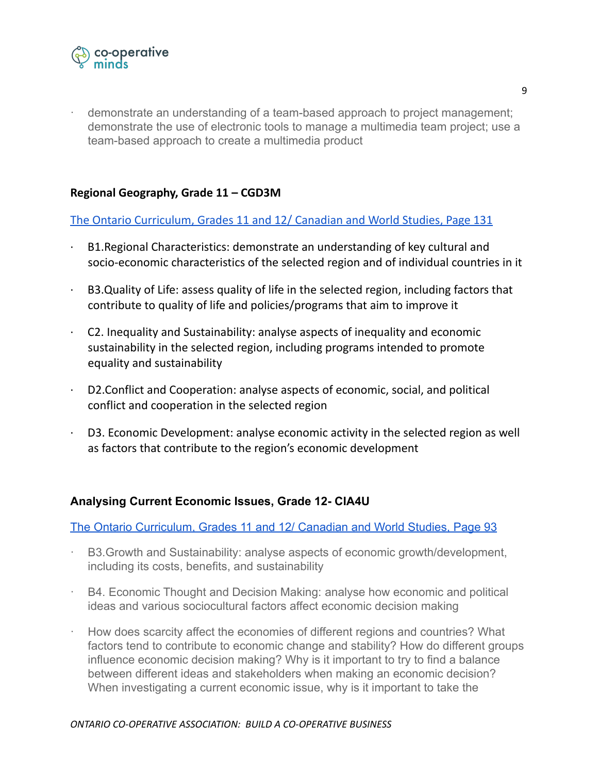

demonstrate an understanding of a team-based approach to project management; demonstrate the use of electronic tools to manage a multimedia team project; use a team-based approach to create a multimedia product

### **Regional Geography, Grade 11 – CGD3M**

#### The Ontario [Curriculum,](http://www.edu.gov.on.ca/eng/curriculum/secondary/2015cws11and12.pdf) Grades 11 and 12/ Canadian and World Studies, Page 131

- · B1.Regional Characteristics: demonstrate an understanding of key cultural and socio-economic characteristics of the selected region and of individual countries in it
- · B3.Quality of Life: assess quality of life in the selected region, including factors that contribute to quality of life and policies/programs that aim to improve it
- $\cdot$  C2. Inequality and Sustainability: analyse aspects of inequality and economic sustainability in the selected region, including programs intended to promote equality and sustainability
- · D2.Conflict and Cooperation: analyse aspects of economic, social, and political conflict and cooperation in the selected region
- D3. Economic Development: analyse economic activity in the selected region as well as factors that contribute to the region's economic development

#### **Analysing Current Economic Issues, Grade 12- CIA4U**

[The Ontario Curriculum, Grades 11 and 12/ Canadian and World Studies, Page 93](http://www.edu.gov.on.ca/eng/curriculum/secondary/2015cws11and12.pdf)

- · B3.Growth and Sustainability: analyse aspects of economic growth/development, including its costs, benefits, and sustainability
- B4. Economic Thought and Decision Making: analyse how economic and political ideas and various sociocultural factors affect economic decision making
- · How does scarcity affect the economies of different regions and countries? What factors tend to contribute to economic change and stability? How do different groups influence economic decision making? Why is it important to try to find a balance between different ideas and stakeholders when making an economic decision? When investigating a current economic issue, why is it important to take the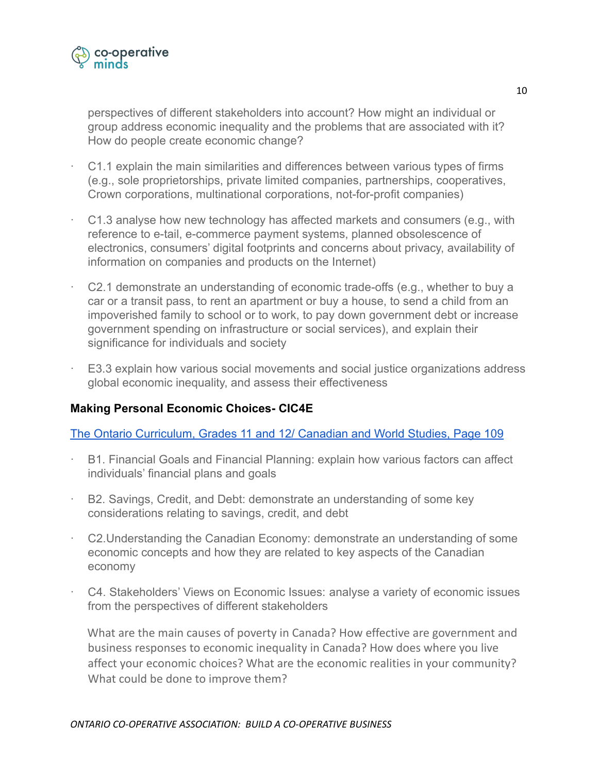

perspectives of different stakeholders into account? How might an individual or group address economic inequality and the problems that are associated with it? How do people create economic change?

- · C1.1 explain the main similarities and differences between various types of firms (e.g., sole proprietorships, private limited companies, partnerships, cooperatives, Crown corporations, multinational corporations, not-for-profit companies)
- C1.3 analyse how new technology has affected markets and consumers (e.g., with reference to e-tail, e-commerce payment systems, planned obsolescence of electronics, consumers' digital footprints and concerns about privacy, availability of information on companies and products on the Internet)
- · C2.1 demonstrate an understanding of economic trade-offs (e.g., whether to buy a car or a transit pass, to rent an apartment or buy a house, to send a child from an impoverished family to school or to work, to pay down government debt or increase government spending on infrastructure or social services), and explain their significance for individuals and society
- E3.3 explain how various social movements and social justice organizations address global economic inequality, and assess their effectiveness

#### **Making Personal Economic Choices- CIC4E**

[The Ontario Curriculum, Grades 11 and 12/ Canadian and World Studies, Page 109](http://www.edu.gov.on.ca/eng/curriculum/secondary/2015cws11and12.pdf)

- · B1. Financial Goals and Financial Planning: explain how various factors can affect individuals' financial plans and goals
- · B2. Savings, Credit, and Debt: demonstrate an understanding of some key considerations relating to savings, credit, and debt
- · C2.Understanding the Canadian Economy: demonstrate an understanding of some economic concepts and how they are related to key aspects of the Canadian economy
- · C4. Stakeholders' Views on Economic Issues: analyse a variety of economic issues from the perspectives of different stakeholders

What are the main causes of poverty in Canada? How effective are government and business responses to economic inequality in Canada? How does where you live affect your economic choices? What are the economic realities in your community? What could be done to improve them?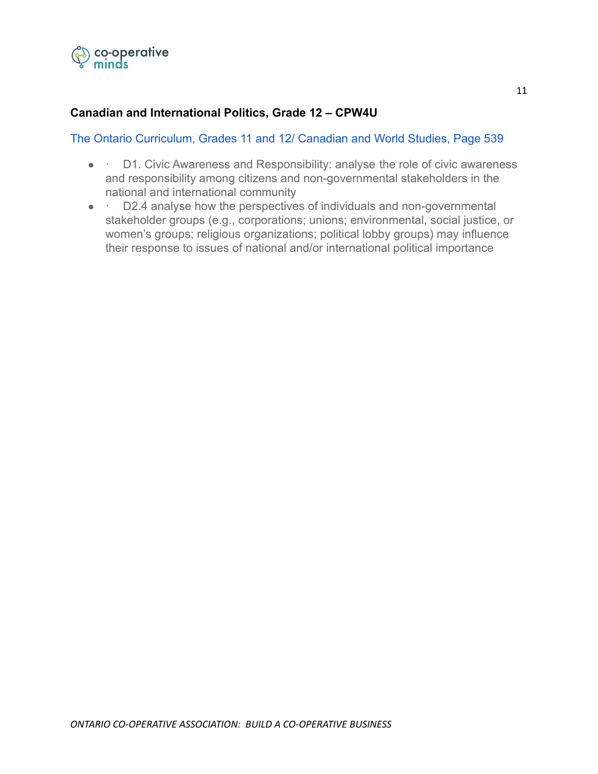

## **Canadian and International Politics, Grade 12 – CPW4U**

#### [The Ontario Curriculum, Grades 11 and 12/ Canadian and World Studies, Page 539](http://www.edu.gov.on.ca/eng/curriculum/secondary/2015cws11and12.pdf)

- **D1. Civic Awareness and Responsibility: analyse the role of civic awareness** and responsibility among citizens and non-governmental stakeholders in the national and international community
- · D2.4 analyse how the perspectives of individuals and non-governmental stakeholder groups (e.g., corporations; unions; environmental, social justice, or women's groups; religious organizations; political lobby groups) may influence their response to issues of national and/or international political importance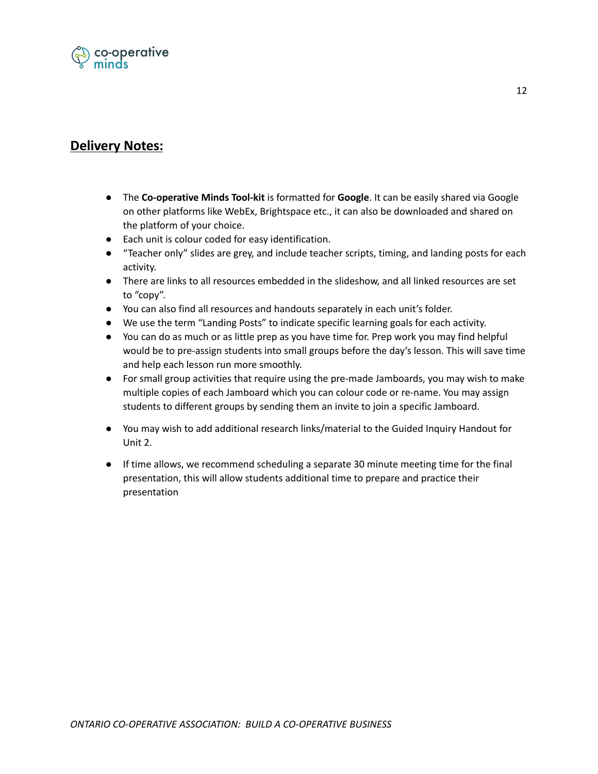

## **Delivery Notes:**

- The **Co-operative Minds Tool-kit** is formatted for **Google**. It can be easily shared via Google on other platforms like WebEx, Brightspace etc., it can also be downloaded and shared on the platform of your choice.
- Each unit is colour coded for easy identification.
- "Teacher only" slides are grey, and include teacher scripts, timing, and landing posts for each activity.
- There are links to all resources embedded in the slideshow, and all linked resources are set to "copy".
- You can also find all resources and handouts separately in each unit's folder.
- We use the term "Landing Posts" to indicate specific learning goals for each activity.
- You can do as much or as little prep as you have time for. Prep work you may find helpful would be to pre-assign students into small groups before the day's lesson. This will save time and help each lesson run more smoothly.
- For small group activities that require using the pre-made Jamboards, you may wish to make multiple copies of each Jamboard which you can colour code or re-name. You may assign students to different groups by sending them an invite to join a specific Jamboard.
- You may wish to add additional research links/material to the Guided Inquiry Handout for Unit 2.
- If time allows, we recommend scheduling a separate 30 minute meeting time for the final presentation, this will allow students additional time to prepare and practice their presentation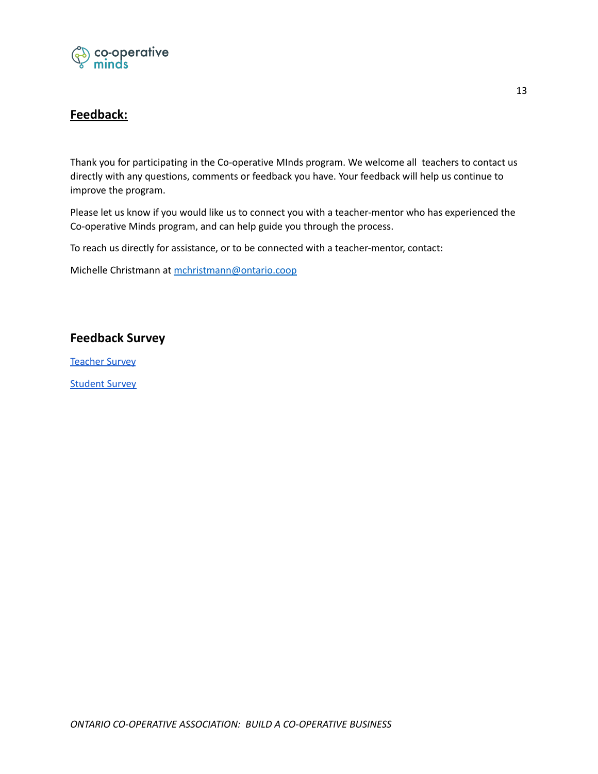

## **Feedback:**

Thank you for participating in the Co-operative MInds program. We welcome all teachers to contact us directly with any questions, comments or feedback you have. Your feedback will help us continue to improve the program.

Please let us know if you would like us to connect you with a teacher-mentor who has experienced the Co-operative Minds program, and can help guide you through the process.

To reach us directly for assistance, or to be connected with a teacher-mentor, contact:

Michelle Christmann at [mchristmann@ontario.coop](mailto:mchristmann@ontario.coop)

#### **Feedback Survey**

[Teacher](https://docs.google.com/document/d/1zlm5Tl29HWU8ujK-edid1Qtjashz1OpTikRXceV3cbU/copy) Survey

[Student](https://docs.google.com/document/d/1Gl6W10CJnvHgENnqEHjI8va_Jy0QMedCYe5xouL0rMA/copy) Survey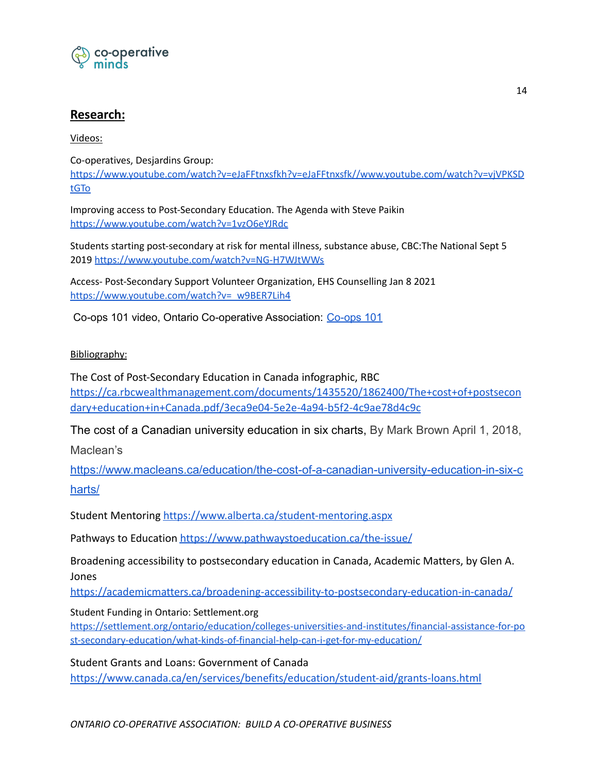

## **Research:**

Videos:

Co-operatives, Desjardins Group: [https://www.youtube.com/watch?v=eJaFFtnxsfkh?v=eJaFFtnxsfk//www.youtube.com/watch?v=vjVPKSD](https://www.youtube.com/watch?v=eJaFFtnxsfkh?v=eJaFFtnxsfk//www.youtube.com/watch?v=vjVPKSDtGTo) [tGTo](https://www.youtube.com/watch?v=eJaFFtnxsfkh?v=eJaFFtnxsfk//www.youtube.com/watch?v=vjVPKSDtGTo)

Improving access to Post-Secondary Education. The Agenda with Steve Paikin <https://www.youtube.com/watch?v=1vzO6eYJRdc>

Students starting post-secondary at risk for mental illness, substance abuse, CBC:The National Sept 5 2019 <https://www.youtube.com/watch?v=NG-H7WJtWWs>

Access- Post-Secondary Support Volunteer Organization, EHS Counselling Jan 8 2021 [https://www.youtube.com/watch?v=\\_w9BER7Lih4](https://www.youtube.com/watch?v=_w9BER7Lih4)

Co-ops 101 video, Ontario Co-operative Association: [Co-ops](https://www.youtube.com/watch?v=5_hMicsHTjw) 101

#### Bibliography:

The Cost of Post-Secondary Education in Canada infographic, RBC [https://ca.rbcwealthmanagement.com/documents/1435520/1862400/The+cost+of+postsecon](https://ca.rbcwealthmanagement.com/documents/1435520/1862400/The+cost+of+postsecondary+education+in+Canada.pdf/3eca9e04-5e2e-4a94-b5f2-4c9ae78d4c9c) [dary+education+in+Canada.pdf/3eca9e04-5e2e-4a94-b5f2-4c9ae78d4c9c](https://ca.rbcwealthmanagement.com/documents/1435520/1862400/The+cost+of+postsecondary+education+in+Canada.pdf/3eca9e04-5e2e-4a94-b5f2-4c9ae78d4c9c)

The cost of a Canadian university education in six charts, By [Mark Brown](https://www.macleans.ca/author/mark-brown/) April 1, 2018,

Maclean's

[https://www.macleans.ca/education/the-cost-of-a-canadian-university-education-in-six-c](https://www.macleans.ca/education/the-cost-of-a-canadian-university-education-in-six-charts/) [harts/](https://www.macleans.ca/education/the-cost-of-a-canadian-university-education-in-six-charts/)

Student Mentoring <https://www.alberta.ca/student-mentoring.aspx>

Pathways to Education <https://www.pathwaystoeducation.ca/the-issue/>

Broadening accessibility to postsecondary education in Canada, Academic Matters, by Glen A. Jones

<https://academicmatters.ca/broadening-accessibility-to-postsecondary-education-in-canada/>

Student Funding in Ontario: Settlement.org

[https://settlement.org/ontario/education/colleges-universities-and-institutes/financial-assistance-for-po](https://settlement.org/ontario/education/colleges-universities-and-institutes/financial-assistance-for-post-secondary-education/what-kinds-of-financial-help-can-i-get-for-my-education/) [st-secondary-education/what-kinds-of-financial-help-can-i-get-for-my-education/](https://settlement.org/ontario/education/colleges-universities-and-institutes/financial-assistance-for-post-secondary-education/what-kinds-of-financial-help-can-i-get-for-my-education/)

Student Grants and Loans: Government of Canada <https://www.canada.ca/en/services/benefits/education/student-aid/grants-loans.html>